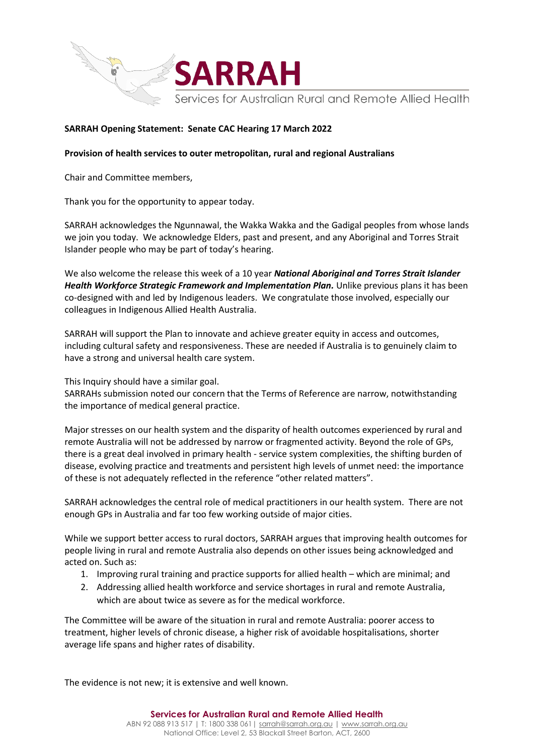

## **SARRAH Opening Statement: Senate CAC Hearing 17 March 2022**

## **Provision of health services to outer metropolitan, rural and regional Australians**

Chair and Committee members,

Thank you for the opportunity to appear today.

SARRAH acknowledges the Ngunnawal, the Wakka Wakka and the Gadigal peoples from whose lands we join you today. We acknowledge Elders, past and present, and any Aboriginal and Torres Strait Islander people who may be part of today's hearing.

We also welcome the release this week of a 10 year *National Aboriginal and Torres Strait Islander*  Health Workforce Strategic Framework and Implementation Plan. Unlike previous plans it has been co-designed with and led by Indigenous leaders. We congratulate those involved, especially our colleagues in Indigenous Allied Health Australia.

SARRAH will support the Plan to innovate and achieve greater equity in access and outcomes, including cultural safety and responsiveness. These are needed if Australia is to genuinely claim to have a strong and universal health care system.

This Inquiry should have a similar goal.

SARRAHs submission noted our concern that the Terms of Reference are narrow, notwithstanding the importance of medical general practice.

Major stresses on our health system and the disparity of health outcomes experienced by rural and remote Australia will not be addressed by narrow or fragmented activity. Beyond the role of GPs, there is a great deal involved in primary health - service system complexities, the shifting burden of disease, evolving practice and treatments and persistent high levels of unmet need: the importance of these is not adequately reflected in the reference "other related matters".

SARRAH acknowledges the central role of medical practitioners in our health system. There are not enough GPs in Australia and far too few working outside of major cities.

While we support better access to rural doctors, SARRAH argues that improving health outcomes for people living in rural and remote Australia also depends on other issues being acknowledged and acted on. Such as:

- 1. Improving rural training and practice supports for allied health which are minimal; and
- 2. Addressing allied health workforce and service shortages in rural and remote Australia, which are about twice as severe as for the medical workforce.

The Committee will be aware of the situation in rural and remote Australia: poorer access to treatment, higher levels of chronic disease, a higher risk of avoidable hospitalisations, shorter average life spans and higher rates of disability.

The evidence is not new; it is extensive and well known.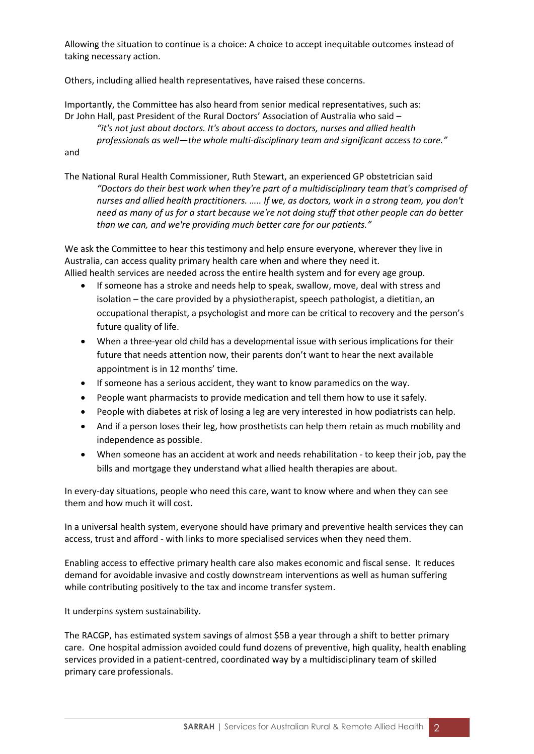Allowing the situation to continue is a choice: A choice to accept inequitable outcomes instead of taking necessary action.

Others, including allied health representatives, have raised these concerns.

Importantly, the Committee has also heard from senior medical representatives, such as: Dr John Hall, past President of the Rural Doctors' Association of Australia who said –

*"it's not just about doctors. It's about access to doctors, nurses and allied health professionals as well—the whole multi-disciplinary team and significant access to care."* and

The National Rural Health Commissioner, Ruth Stewart, an experienced GP obstetrician said *"Doctors do their best work when they're part of a multidisciplinary team that's comprised of nurses and allied health practitioners. ….. If we, as doctors, work in a strong team, you don't need as many of us for a start because we're not doing stuff that other people can do better than we can, and we're providing much better care for our patients."*

We ask the Committee to hear this testimony and help ensure everyone, wherever they live in Australia, can access quality primary health care when and where they need it. Allied health services are needed across the entire health system and for every age group.

- If someone has a stroke and needs help to speak, swallow, move, deal with stress and isolation – the care provided by a physiotherapist, speech pathologist, a dietitian, an occupational therapist, a psychologist and more can be critical to recovery and the person's future quality of life.
- When a three-year old child has a developmental issue with serious implications for their future that needs attention now, their parents don't want to hear the next available appointment is in 12 months' time.
- If someone has a serious accident, they want to know paramedics on the way.
- People want pharmacists to provide medication and tell them how to use it safely.
- People with diabetes at risk of losing a leg are very interested in how podiatrists can help.
- And if a person loses their leg, how prosthetists can help them retain as much mobility and independence as possible.
- When someone has an accident at work and needs rehabilitation to keep their job, pay the bills and mortgage they understand what allied health therapies are about.

In every-day situations, people who need this care, want to know where and when they can see them and how much it will cost.

In a universal health system, everyone should have primary and preventive health services they can access, trust and afford - with links to more specialised services when they need them.

Enabling access to effective primary health care also makes economic and fiscal sense. It reduces demand for avoidable invasive and costly downstream interventions as well as human suffering while contributing positively to the tax and income transfer system.

It underpins system sustainability.

The RACGP, has estimated system savings of almost \$5B a year through a shift to better primary care. One hospital admission avoided could fund dozens of preventive, high quality, health enabling services provided in a patient-centred, coordinated way by a multidisciplinary team of skilled primary care professionals.